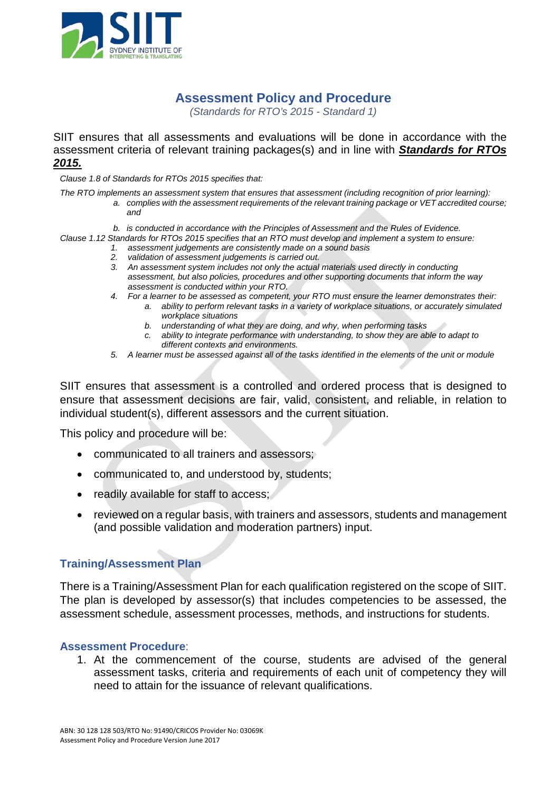

## **Assessment Policy and Procedure**

*(Standards for RTO's 2015 - Standard 1)*

SIIT ensures that all assessments and evaluations will be done in accordance with the assessment criteria of relevant training packages(s) and in line with *Standards for RTOs 2015.*

*Clause 1.8 of Standards for RTOs 2015 specifies that:*

*The RTO implements an assessment system that ensures that assessment (including recognition of prior learning):* 

- *a. complies with the assessment requirements of the relevant training package or VET accredited course; and*
- *b. is conducted in accordance with the Principles of Assessment and the Rules of Evidence.*
- *Clause 1.12 Standards for RTOs 2015 specifies that an RTO must develop and implement a system to ensure:*
	- *1. assessment judgements are consistently made on a sound basis*
	- *2. validation of assessment judgements is carried out.*
	- *3. An assessment system includes not only the actual materials used directly in conducting assessment, but also policies, procedures and other supporting documents that inform the way assessment is conducted within your RTO.*
	- *4. For a learner to be assessed as competent, your RTO must ensure the learner demonstrates their:*
		- *a. ability to perform relevant tasks in a variety of workplace situations, or accurately simulated workplace situations*
			- *b. understanding of what they are doing, and why, when performing tasks*
			- *c. ability to integrate performance with understanding, to show they are able to adapt to different contexts and environments.*
	- *5. A learner must be assessed against all of the tasks identified in the elements of the unit or module*

SIIT ensures that assessment is a controlled and ordered process that is designed to ensure that assessment decisions are fair, valid, consistent, and reliable, in relation to individual student(s), different assessors and the current situation.

This policy and procedure will be:

- communicated to all trainers and assessors;
- communicated to, and understood by, students;
- readily available for staff to access;
- reviewed on a regular basis, with trainers and assessors, students and management (and possible validation and moderation partners) input.

## **Training/Assessment Plan**

There is a Training/Assessment Plan for each qualification registered on the scope of SIIT. The plan is developed by assessor(s) that includes competencies to be assessed, the assessment schedule, assessment processes, methods, and instructions for students.

## **Assessment Procedure**:

1. At the commencement of the course, students are advised of the general assessment tasks, criteria and requirements of each unit of competency they will need to attain for the issuance of relevant qualifications.